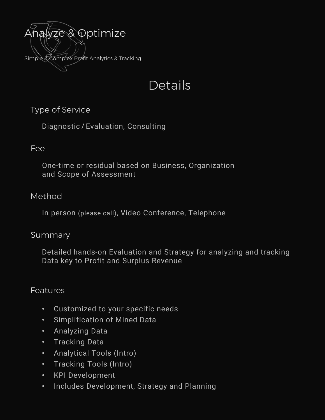

# Details

## Type of Service

Diagnostic / Evaluation, Consulting

### Fee

One-time or residual based on Business, Organization and Scope of Assessment

### Method

In-person (please call), Video Conference, Telephone

### Summary

Detailed hands-on Evaluation and Strategy for analyzing and tracking Data key to Profit and Surplus Revenue

### **Features**

- Customized to your specific needs
- Simplification of Mined Data
- Analyzing Data
- Tracking Data
- Analytical Tools (Intro)
- Tracking Tools (Intro)
- KPI Development
- Includes Development, Strategy and Planning